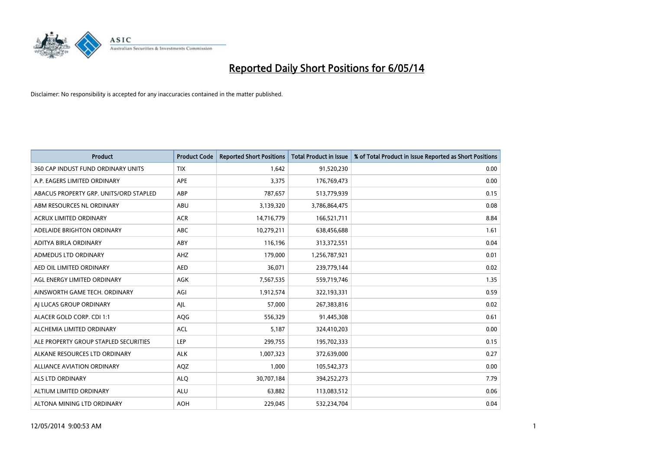

| <b>Product</b>                         | <b>Product Code</b> | <b>Reported Short Positions</b> | <b>Total Product in Issue</b> | % of Total Product in Issue Reported as Short Positions |
|----------------------------------------|---------------------|---------------------------------|-------------------------------|---------------------------------------------------------|
| 360 CAP INDUST FUND ORDINARY UNITS     | <b>TIX</b>          | 1,642                           | 91,520,230                    | 0.00                                                    |
| A.P. EAGERS LIMITED ORDINARY           | APE                 | 3,375                           | 176,769,473                   | 0.00                                                    |
| ABACUS PROPERTY GRP. UNITS/ORD STAPLED | ABP                 | 787,657                         | 513,779,939                   | 0.15                                                    |
| ABM RESOURCES NL ORDINARY              | ABU                 | 3,139,320                       | 3,786,864,475                 | 0.08                                                    |
| <b>ACRUX LIMITED ORDINARY</b>          | <b>ACR</b>          | 14,716,779                      | 166,521,711                   | 8.84                                                    |
| ADELAIDE BRIGHTON ORDINARY             | <b>ABC</b>          | 10,279,211                      | 638,456,688                   | 1.61                                                    |
| ADITYA BIRLA ORDINARY                  | ABY                 | 116,196                         | 313,372,551                   | 0.04                                                    |
| ADMEDUS LTD ORDINARY                   | AHZ                 | 179,000                         | 1,256,787,921                 | 0.01                                                    |
| AED OIL LIMITED ORDINARY               | <b>AED</b>          | 36,071                          | 239,779,144                   | 0.02                                                    |
| AGL ENERGY LIMITED ORDINARY            | <b>AGK</b>          | 7,567,535                       | 559,719,746                   | 1.35                                                    |
| AINSWORTH GAME TECH. ORDINARY          | AGI                 | 1,912,574                       | 322,193,331                   | 0.59                                                    |
| AI LUCAS GROUP ORDINARY                | AJL                 | 57,000                          | 267,383,816                   | 0.02                                                    |
| ALACER GOLD CORP. CDI 1:1              | AQG                 | 556,329                         | 91,445,308                    | 0.61                                                    |
| ALCHEMIA LIMITED ORDINARY              | <b>ACL</b>          | 5,187                           | 324,410,203                   | 0.00                                                    |
| ALE PROPERTY GROUP STAPLED SECURITIES  | <b>LEP</b>          | 299,755                         | 195,702,333                   | 0.15                                                    |
| ALKANE RESOURCES LTD ORDINARY          | <b>ALK</b>          | 1,007,323                       | 372,639,000                   | 0.27                                                    |
| ALLIANCE AVIATION ORDINARY             | AQZ                 | 1,000                           | 105,542,373                   | 0.00                                                    |
| <b>ALS LTD ORDINARY</b>                | <b>ALQ</b>          | 30,707,184                      | 394,252,273                   | 7.79                                                    |
| ALTIUM LIMITED ORDINARY                | <b>ALU</b>          | 63,882                          | 113,083,512                   | 0.06                                                    |
| ALTONA MINING LTD ORDINARY             | <b>AOH</b>          | 229,045                         | 532,234,704                   | 0.04                                                    |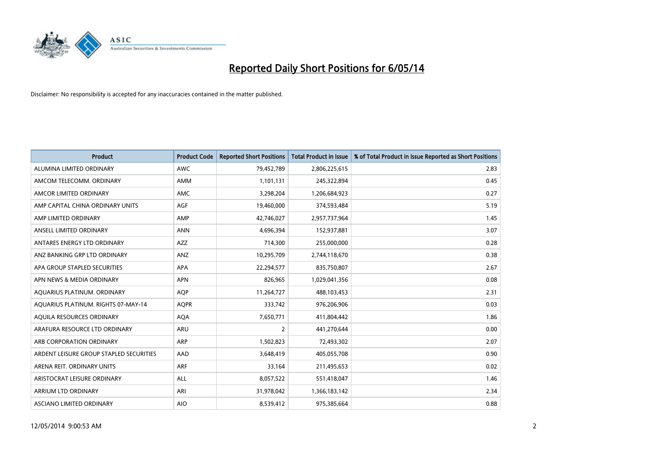

| <b>Product</b>                          | <b>Product Code</b> | <b>Reported Short Positions</b> | <b>Total Product in Issue</b> | % of Total Product in Issue Reported as Short Positions |
|-----------------------------------------|---------------------|---------------------------------|-------------------------------|---------------------------------------------------------|
| ALUMINA LIMITED ORDINARY                | <b>AWC</b>          | 79,452,789                      | 2,806,225,615                 | 2.83                                                    |
| AMCOM TELECOMM. ORDINARY                | AMM                 | 1,101,131                       | 245,322,894                   | 0.45                                                    |
| AMCOR LIMITED ORDINARY                  | AMC                 | 3,298,204                       | 1,206,684,923                 | 0.27                                                    |
| AMP CAPITAL CHINA ORDINARY UNITS        | AGF                 | 19,460,000                      | 374,593,484                   | 5.19                                                    |
| AMP LIMITED ORDINARY                    | AMP                 | 42,746,027                      | 2,957,737,964                 | 1.45                                                    |
| ANSELL LIMITED ORDINARY                 | <b>ANN</b>          | 4,696,394                       | 152,937,881                   | 3.07                                                    |
| ANTARES ENERGY LTD ORDINARY             | AZZ                 | 714,300                         | 255,000,000                   | 0.28                                                    |
| ANZ BANKING GRP LTD ORDINARY            | ANZ                 | 10,295,709                      | 2,744,118,670                 | 0.38                                                    |
| APA GROUP STAPLED SECURITIES            | <b>APA</b>          | 22,294,577                      | 835,750,807                   | 2.67                                                    |
| APN NEWS & MEDIA ORDINARY               | <b>APN</b>          | 826,965                         | 1,029,041,356                 | 0.08                                                    |
| AQUARIUS PLATINUM. ORDINARY             | <b>AOP</b>          | 11,264,727                      | 488,103,453                   | 2.31                                                    |
| AQUARIUS PLATINUM. RIGHTS 07-MAY-14     | <b>AQPR</b>         | 333,742                         | 976,206,906                   | 0.03                                                    |
| AQUILA RESOURCES ORDINARY               | <b>AQA</b>          | 7,650,771                       | 411,804,442                   | 1.86                                                    |
| ARAFURA RESOURCE LTD ORDINARY           | ARU                 | $\overline{2}$                  | 441,270,644                   | 0.00                                                    |
| ARB CORPORATION ORDINARY                | <b>ARP</b>          | 1,502,823                       | 72,493,302                    | 2.07                                                    |
| ARDENT LEISURE GROUP STAPLED SECURITIES | AAD                 | 3,648,419                       | 405,055,708                   | 0.90                                                    |
| ARENA REIT. ORDINARY UNITS              | <b>ARF</b>          | 33,164                          | 211,495,653                   | 0.02                                                    |
| ARISTOCRAT LEISURE ORDINARY             | <b>ALL</b>          | 8,057,522                       | 551,418,047                   | 1.46                                                    |
| ARRIUM LTD ORDINARY                     | ARI                 | 31,978,042                      | 1,366,183,142                 | 2.34                                                    |
| ASCIANO LIMITED ORDINARY                | <b>AIO</b>          | 8,539,412                       | 975,385,664                   | 0.88                                                    |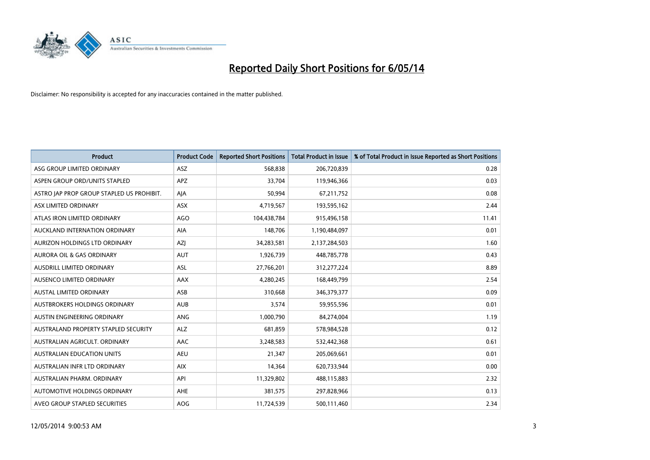

| <b>Product</b>                            | <b>Product Code</b> | <b>Reported Short Positions</b> | <b>Total Product in Issue</b> | % of Total Product in Issue Reported as Short Positions |
|-------------------------------------------|---------------------|---------------------------------|-------------------------------|---------------------------------------------------------|
| ASG GROUP LIMITED ORDINARY                | <b>ASZ</b>          | 568,838                         | 206,720,839                   | 0.28                                                    |
| ASPEN GROUP ORD/UNITS STAPLED             | APZ                 | 33,704                          | 119,946,366                   | 0.03                                                    |
| ASTRO JAP PROP GROUP STAPLED US PROHIBIT. | AJA                 | 50,994                          | 67,211,752                    | 0.08                                                    |
| ASX LIMITED ORDINARY                      | ASX                 | 4,719,567                       | 193,595,162                   | 2.44                                                    |
| ATLAS IRON LIMITED ORDINARY               | <b>AGO</b>          | 104,438,784                     | 915,496,158                   | 11.41                                                   |
| AUCKLAND INTERNATION ORDINARY             | <b>AIA</b>          | 148,706                         | 1,190,484,097                 | 0.01                                                    |
| AURIZON HOLDINGS LTD ORDINARY             | AZJ                 | 34,283,581                      | 2,137,284,503                 | 1.60                                                    |
| AURORA OIL & GAS ORDINARY                 | <b>AUT</b>          | 1,926,739                       | 448,785,778                   | 0.43                                                    |
| AUSDRILL LIMITED ORDINARY                 | <b>ASL</b>          | 27,766,201                      | 312,277,224                   | 8.89                                                    |
| AUSENCO LIMITED ORDINARY                  | AAX                 | 4,280,245                       | 168,449,799                   | 2.54                                                    |
| AUSTAL LIMITED ORDINARY                   | ASB                 | 310,668                         | 346,379,377                   | 0.09                                                    |
| AUSTBROKERS HOLDINGS ORDINARY             | <b>AUB</b>          | 3,574                           | 59,955,596                    | 0.01                                                    |
| AUSTIN ENGINEERING ORDINARY               | ANG                 | 1,000,790                       | 84,274,004                    | 1.19                                                    |
| AUSTRALAND PROPERTY STAPLED SECURITY      | <b>ALZ</b>          | 681,859                         | 578,984,528                   | 0.12                                                    |
| AUSTRALIAN AGRICULT, ORDINARY             | <b>AAC</b>          | 3,248,583                       | 532,442,368                   | 0.61                                                    |
| <b>AUSTRALIAN EDUCATION UNITS</b>         | <b>AEU</b>          | 21,347                          | 205,069,661                   | 0.01                                                    |
| AUSTRALIAN INFR LTD ORDINARY              | <b>AIX</b>          | 14,364                          | 620,733,944                   | 0.00                                                    |
| AUSTRALIAN PHARM. ORDINARY                | API                 | 11,329,802                      | 488,115,883                   | 2.32                                                    |
| AUTOMOTIVE HOLDINGS ORDINARY              | AHE                 | 381,575                         | 297,828,966                   | 0.13                                                    |
| AVEO GROUP STAPLED SECURITIES             | AOG                 | 11,724,539                      | 500,111,460                   | 2.34                                                    |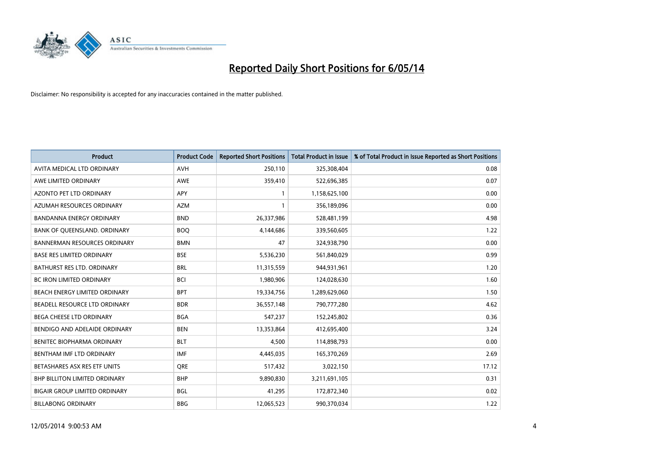

| Product                              | <b>Product Code</b> | <b>Reported Short Positions</b> | <b>Total Product in Issue</b> | % of Total Product in Issue Reported as Short Positions |
|--------------------------------------|---------------------|---------------------------------|-------------------------------|---------------------------------------------------------|
| AVITA MEDICAL LTD ORDINARY           | <b>AVH</b>          | 250,110                         | 325,308,404                   | 0.08                                                    |
| AWE LIMITED ORDINARY                 | <b>AWE</b>          | 359,410                         | 522,696,385                   | 0.07                                                    |
| <b>AZONTO PET LTD ORDINARY</b>       | <b>APY</b>          | 1                               | 1,158,625,100                 | 0.00                                                    |
| AZUMAH RESOURCES ORDINARY            | <b>AZM</b>          | 1                               | 356,189,096                   | 0.00                                                    |
| <b>BANDANNA ENERGY ORDINARY</b>      | <b>BND</b>          | 26,337,986                      | 528,481,199                   | 4.98                                                    |
| BANK OF QUEENSLAND. ORDINARY         | <b>BOQ</b>          | 4,144,686                       | 339,560,605                   | 1.22                                                    |
| <b>BANNERMAN RESOURCES ORDINARY</b>  | <b>BMN</b>          | 47                              | 324,938,790                   | 0.00                                                    |
| <b>BASE RES LIMITED ORDINARY</b>     | <b>BSE</b>          | 5,536,230                       | 561,840,029                   | 0.99                                                    |
| <b>BATHURST RES LTD. ORDINARY</b>    | <b>BRL</b>          | 11,315,559                      | 944,931,961                   | 1.20                                                    |
| <b>BC IRON LIMITED ORDINARY</b>      | <b>BCI</b>          | 1,980,906                       | 124,028,630                   | 1.60                                                    |
| BEACH ENERGY LIMITED ORDINARY        | <b>BPT</b>          | 19,334,756                      | 1,289,629,060                 | 1.50                                                    |
| BEADELL RESOURCE LTD ORDINARY        | <b>BDR</b>          | 36,557,148                      | 790,777,280                   | 4.62                                                    |
| BEGA CHEESE LTD ORDINARY             | <b>BGA</b>          | 547,237                         | 152,245,802                   | 0.36                                                    |
| BENDIGO AND ADELAIDE ORDINARY        | <b>BEN</b>          | 13,353,864                      | 412,695,400                   | 3.24                                                    |
| BENITEC BIOPHARMA ORDINARY           | <b>BLT</b>          | 4.500                           | 114,898,793                   | 0.00                                                    |
| BENTHAM IMF LTD ORDINARY             | <b>IMF</b>          | 4,445,035                       | 165,370,269                   | 2.69                                                    |
| BETASHARES ASX RES ETF UNITS         | <b>ORE</b>          | 517,432                         | 3,022,150                     | 17.12                                                   |
| <b>BHP BILLITON LIMITED ORDINARY</b> | <b>BHP</b>          | 9,890,830                       | 3,211,691,105                 | 0.31                                                    |
| <b>BIGAIR GROUP LIMITED ORDINARY</b> | <b>BGL</b>          | 41,295                          | 172,872,340                   | 0.02                                                    |
| <b>BILLABONG ORDINARY</b>            | <b>BBG</b>          | 12,065,523                      | 990,370,034                   | 1.22                                                    |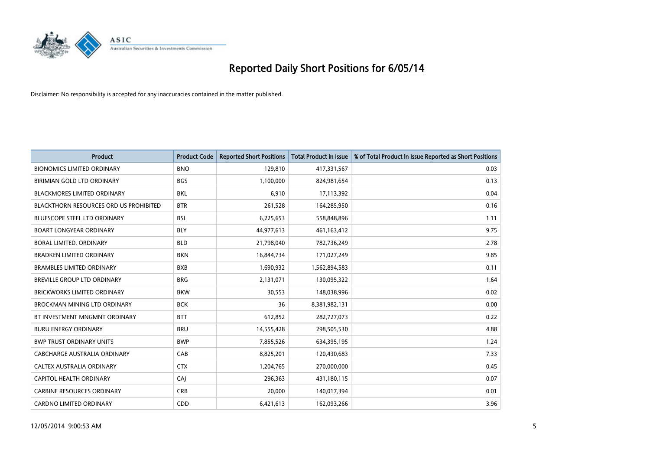

| <b>Product</b>                         | <b>Product Code</b> | <b>Reported Short Positions</b> | <b>Total Product in Issue</b> | % of Total Product in Issue Reported as Short Positions |
|----------------------------------------|---------------------|---------------------------------|-------------------------------|---------------------------------------------------------|
| <b>BIONOMICS LIMITED ORDINARY</b>      | <b>BNO</b>          | 129,810                         | 417,331,567                   | 0.03                                                    |
| BIRIMIAN GOLD LTD ORDINARY             | <b>BGS</b>          | 1,100,000                       | 824,981,654                   | 0.13                                                    |
| <b>BLACKMORES LIMITED ORDINARY</b>     | <b>BKL</b>          | 6,910                           | 17,113,392                    | 0.04                                                    |
| BLACKTHORN RESOURCES ORD US PROHIBITED | <b>BTR</b>          | 261,528                         | 164,285,950                   | 0.16                                                    |
| <b>BLUESCOPE STEEL LTD ORDINARY</b>    | <b>BSL</b>          | 6,225,653                       | 558,848,896                   | 1.11                                                    |
| <b>BOART LONGYEAR ORDINARY</b>         | <b>BLY</b>          | 44,977,613                      | 461,163,412                   | 9.75                                                    |
| <b>BORAL LIMITED, ORDINARY</b>         | <b>BLD</b>          | 21,798,040                      | 782,736,249                   | 2.78                                                    |
| <b>BRADKEN LIMITED ORDINARY</b>        | <b>BKN</b>          | 16,844,734                      | 171,027,249                   | 9.85                                                    |
| <b>BRAMBLES LIMITED ORDINARY</b>       | <b>BXB</b>          | 1,690,932                       | 1,562,894,583                 | 0.11                                                    |
| BREVILLE GROUP LTD ORDINARY            | <b>BRG</b>          | 2,131,071                       | 130,095,322                   | 1.64                                                    |
| <b>BRICKWORKS LIMITED ORDINARY</b>     | <b>BKW</b>          | 30,553                          | 148,038,996                   | 0.02                                                    |
| BROCKMAN MINING LTD ORDINARY           | <b>BCK</b>          | 36                              | 8,381,982,131                 | 0.00                                                    |
| BT INVESTMENT MNGMNT ORDINARY          | <b>BTT</b>          | 612,852                         | 282,727,073                   | 0.22                                                    |
| <b>BURU ENERGY ORDINARY</b>            | <b>BRU</b>          | 14,555,428                      | 298,505,530                   | 4.88                                                    |
| <b>BWP TRUST ORDINARY UNITS</b>        | <b>BWP</b>          | 7,855,526                       | 634,395,195                   | 1.24                                                    |
| <b>CABCHARGE AUSTRALIA ORDINARY</b>    | CAB                 | 8,825,201                       | 120,430,683                   | 7.33                                                    |
| CALTEX AUSTRALIA ORDINARY              | <b>CTX</b>          | 1,204,765                       | 270,000,000                   | 0.45                                                    |
| CAPITOL HEALTH ORDINARY                | <b>CAJ</b>          | 296,363                         | 431,180,115                   | 0.07                                                    |
| <b>CARBINE RESOURCES ORDINARY</b>      | <b>CRB</b>          | 20,000                          | 140,017,394                   | 0.01                                                    |
| CARDNO LIMITED ORDINARY                | CDD                 | 6,421,613                       | 162,093,266                   | 3.96                                                    |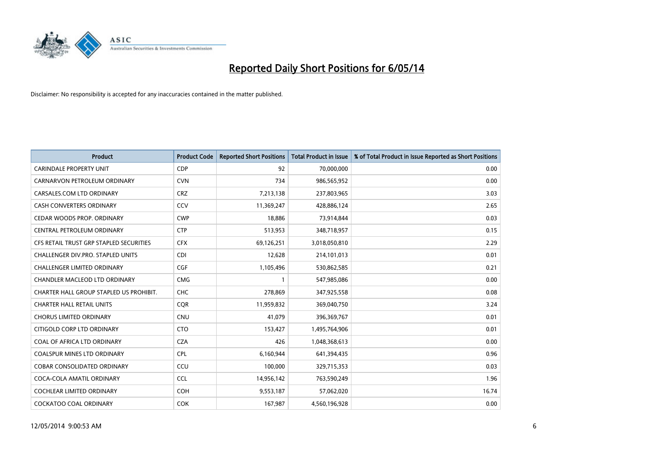

| <b>Product</b>                          | <b>Product Code</b> | <b>Reported Short Positions</b> | <b>Total Product in Issue</b> | % of Total Product in Issue Reported as Short Positions |
|-----------------------------------------|---------------------|---------------------------------|-------------------------------|---------------------------------------------------------|
| <b>CARINDALE PROPERTY UNIT</b>          | <b>CDP</b>          | 92                              | 70,000,000                    | 0.00                                                    |
| CARNARVON PETROLEUM ORDINARY            | <b>CVN</b>          | 734                             | 986,565,952                   | 0.00                                                    |
| CARSALES.COM LTD ORDINARY               | <b>CRZ</b>          | 7,213,138                       | 237,803,965                   | 3.03                                                    |
| CASH CONVERTERS ORDINARY                | CCV                 | 11,369,247                      | 428,886,124                   | 2.65                                                    |
| CEDAR WOODS PROP. ORDINARY              | <b>CWP</b>          | 18,886                          | 73,914,844                    | 0.03                                                    |
| CENTRAL PETROLEUM ORDINARY              | <b>CTP</b>          | 513,953                         | 348,718,957                   | 0.15                                                    |
| CFS RETAIL TRUST GRP STAPLED SECURITIES | <b>CFX</b>          | 69,126,251                      | 3,018,050,810                 | 2.29                                                    |
| CHALLENGER DIV.PRO. STAPLED UNITS       | <b>CDI</b>          | 12,628                          | 214,101,013                   | 0.01                                                    |
| <b>CHALLENGER LIMITED ORDINARY</b>      | <b>CGF</b>          | 1,105,496                       | 530,862,585                   | 0.21                                                    |
| CHANDLER MACLEOD LTD ORDINARY           | <b>CMG</b>          | $\mathbf{1}$                    | 547,985,086                   | 0.00                                                    |
| CHARTER HALL GROUP STAPLED US PROHIBIT. | <b>CHC</b>          | 278,869                         | 347,925,558                   | 0.08                                                    |
| <b>CHARTER HALL RETAIL UNITS</b>        | <b>CQR</b>          | 11,959,832                      | 369,040,750                   | 3.24                                                    |
| <b>CHORUS LIMITED ORDINARY</b>          | <b>CNU</b>          | 41,079                          | 396,369,767                   | 0.01                                                    |
| CITIGOLD CORP LTD ORDINARY              | <b>CTO</b>          | 153,427                         | 1,495,764,906                 | 0.01                                                    |
| COAL OF AFRICA LTD ORDINARY             | <b>CZA</b>          | 426                             | 1,048,368,613                 | 0.00                                                    |
| <b>COALSPUR MINES LTD ORDINARY</b>      | <b>CPL</b>          | 6,160,944                       | 641,394,435                   | 0.96                                                    |
| <b>COBAR CONSOLIDATED ORDINARY</b>      | CCU                 | 100,000                         | 329,715,353                   | 0.03                                                    |
| COCA-COLA AMATIL ORDINARY               | <b>CCL</b>          | 14,956,142                      | 763,590,249                   | 1.96                                                    |
| <b>COCHLEAR LIMITED ORDINARY</b>        | <b>COH</b>          | 9,553,187                       | 57,062,020                    | 16.74                                                   |
| COCKATOO COAL ORDINARY                  | <b>COK</b>          | 167,987                         | 4,560,196,928                 | 0.00                                                    |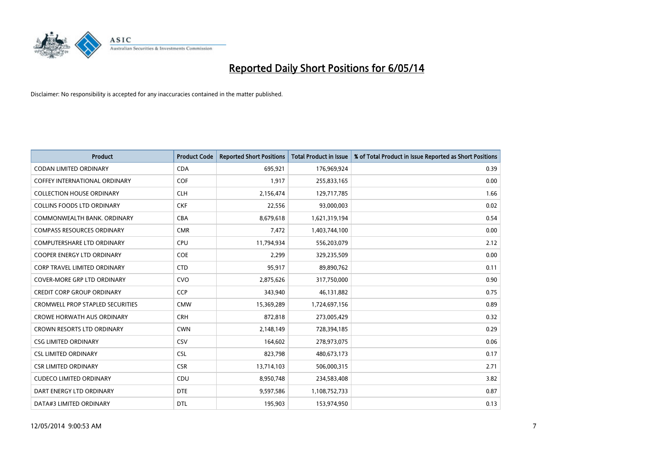

| <b>Product</b>                          | <b>Product Code</b> | <b>Reported Short Positions</b> | <b>Total Product in Issue</b> | % of Total Product in Issue Reported as Short Positions |
|-----------------------------------------|---------------------|---------------------------------|-------------------------------|---------------------------------------------------------|
| <b>CODAN LIMITED ORDINARY</b>           | <b>CDA</b>          | 695,921                         | 176,969,924                   | 0.39                                                    |
| COFFEY INTERNATIONAL ORDINARY           | <b>COF</b>          | 1,917                           | 255,833,165                   | 0.00                                                    |
| <b>COLLECTION HOUSE ORDINARY</b>        | <b>CLH</b>          | 2,156,474                       | 129,717,785                   | 1.66                                                    |
| <b>COLLINS FOODS LTD ORDINARY</b>       | <b>CKF</b>          | 22,556                          | 93,000,003                    | 0.02                                                    |
| COMMONWEALTH BANK, ORDINARY             | <b>CBA</b>          | 8,679,618                       | 1,621,319,194                 | 0.54                                                    |
| <b>COMPASS RESOURCES ORDINARY</b>       | <b>CMR</b>          | 7,472                           | 1,403,744,100                 | 0.00                                                    |
| <b>COMPUTERSHARE LTD ORDINARY</b>       | <b>CPU</b>          | 11,794,934                      | 556,203,079                   | 2.12                                                    |
| <b>COOPER ENERGY LTD ORDINARY</b>       | <b>COE</b>          | 2,299                           | 329,235,509                   | 0.00                                                    |
| <b>CORP TRAVEL LIMITED ORDINARY</b>     | <b>CTD</b>          | 95,917                          | 89,890,762                    | 0.11                                                    |
| COVER-MORE GRP LTD ORDINARY             | <b>CVO</b>          | 2,875,626                       | 317,750,000                   | 0.90                                                    |
| <b>CREDIT CORP GROUP ORDINARY</b>       | <b>CCP</b>          | 343,940                         | 46,131,882                    | 0.75                                                    |
| <b>CROMWELL PROP STAPLED SECURITIES</b> | <b>CMW</b>          | 15,369,289                      | 1,724,697,156                 | 0.89                                                    |
| <b>CROWE HORWATH AUS ORDINARY</b>       | <b>CRH</b>          | 872,818                         | 273,005,429                   | 0.32                                                    |
| <b>CROWN RESORTS LTD ORDINARY</b>       | <b>CWN</b>          | 2,148,149                       | 728,394,185                   | 0.29                                                    |
| <b>CSG LIMITED ORDINARY</b>             | CSV                 | 164,602                         | 278,973,075                   | 0.06                                                    |
| <b>CSL LIMITED ORDINARY</b>             | <b>CSL</b>          | 823,798                         | 480,673,173                   | 0.17                                                    |
| <b>CSR LIMITED ORDINARY</b>             | <b>CSR</b>          | 13,714,103                      | 506,000,315                   | 2.71                                                    |
| <b>CUDECO LIMITED ORDINARY</b>          | CDU                 | 8,950,748                       | 234,583,408                   | 3.82                                                    |
| DART ENERGY LTD ORDINARY                | <b>DTE</b>          | 9,597,586                       | 1,108,752,733                 | 0.87                                                    |
| DATA#3 LIMITED ORDINARY                 | <b>DTL</b>          | 195,903                         | 153,974,950                   | 0.13                                                    |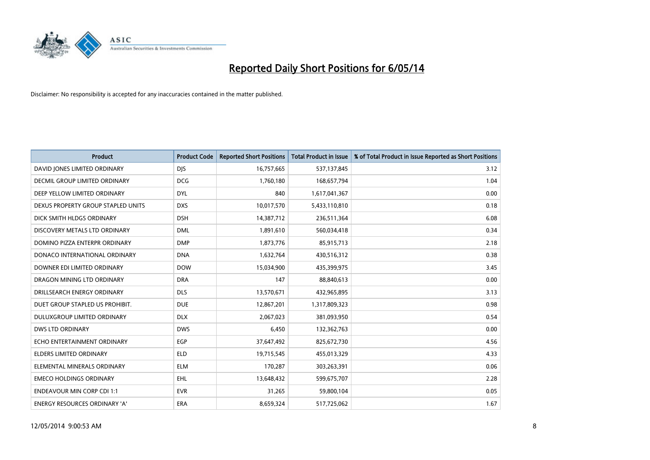

| <b>Product</b>                       | <b>Product Code</b> | <b>Reported Short Positions</b> | <b>Total Product in Issue</b> | % of Total Product in Issue Reported as Short Positions |
|--------------------------------------|---------------------|---------------------------------|-------------------------------|---------------------------------------------------------|
| DAVID JONES LIMITED ORDINARY         | <b>DJS</b>          | 16,757,665                      | 537,137,845                   | 3.12                                                    |
| <b>DECMIL GROUP LIMITED ORDINARY</b> | <b>DCG</b>          | 1,760,180                       | 168,657,794                   | 1.04                                                    |
| DEEP YELLOW LIMITED ORDINARY         | <b>DYL</b>          | 840                             | 1,617,041,367                 | 0.00                                                    |
| DEXUS PROPERTY GROUP STAPLED UNITS   | <b>DXS</b>          | 10,017,570                      | 5,433,110,810                 | 0.18                                                    |
| DICK SMITH HLDGS ORDINARY            | <b>DSH</b>          | 14,387,712                      | 236,511,364                   | 6.08                                                    |
| DISCOVERY METALS LTD ORDINARY        | <b>DML</b>          | 1,891,610                       | 560,034,418                   | 0.34                                                    |
| DOMINO PIZZA ENTERPR ORDINARY        | <b>DMP</b>          | 1,873,776                       | 85,915,713                    | 2.18                                                    |
| DONACO INTERNATIONAL ORDINARY        | <b>DNA</b>          | 1,632,764                       | 430,516,312                   | 0.38                                                    |
| DOWNER EDI LIMITED ORDINARY          | <b>DOW</b>          | 15,034,900                      | 435,399,975                   | 3.45                                                    |
| DRAGON MINING LTD ORDINARY           | <b>DRA</b>          | 147                             | 88,840,613                    | 0.00                                                    |
| DRILLSEARCH ENERGY ORDINARY          | <b>DLS</b>          | 13,570,671                      | 432,965,895                   | 3.13                                                    |
| DUET GROUP STAPLED US PROHIBIT.      | <b>DUE</b>          | 12,867,201                      | 1,317,809,323                 | 0.98                                                    |
| DULUXGROUP LIMITED ORDINARY          | <b>DLX</b>          | 2,067,023                       | 381,093,950                   | 0.54                                                    |
| <b>DWS LTD ORDINARY</b>              | <b>DWS</b>          | 6,450                           | 132,362,763                   | 0.00                                                    |
| ECHO ENTERTAINMENT ORDINARY          | <b>EGP</b>          | 37,647,492                      | 825,672,730                   | 4.56                                                    |
| ELDERS LIMITED ORDINARY              | <b>ELD</b>          | 19,715,545                      | 455,013,329                   | 4.33                                                    |
| ELEMENTAL MINERALS ORDINARY          | <b>ELM</b>          | 170,287                         | 303,263,391                   | 0.06                                                    |
| <b>EMECO HOLDINGS ORDINARY</b>       | <b>EHL</b>          | 13,648,432                      | 599,675,707                   | 2.28                                                    |
| <b>ENDEAVOUR MIN CORP CDI 1:1</b>    | <b>EVR</b>          | 31,265                          | 59,800,104                    | 0.05                                                    |
| <b>ENERGY RESOURCES ORDINARY 'A'</b> | <b>ERA</b>          | 8,659,324                       | 517,725,062                   | 1.67                                                    |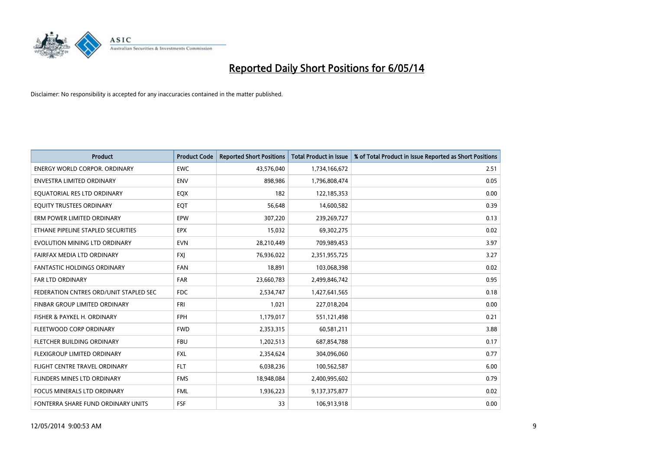

| <b>Product</b>                         | <b>Product Code</b> | <b>Reported Short Positions</b> | <b>Total Product in Issue</b> | % of Total Product in Issue Reported as Short Positions |
|----------------------------------------|---------------------|---------------------------------|-------------------------------|---------------------------------------------------------|
| <b>ENERGY WORLD CORPOR, ORDINARY</b>   | <b>EWC</b>          | 43,576,040                      | 1,734,166,672                 | 2.51                                                    |
| ENVESTRA LIMITED ORDINARY              | <b>ENV</b>          | 898,986                         | 1,796,808,474                 | 0.05                                                    |
| EQUATORIAL RES LTD ORDINARY            | EQX                 | 182                             | 122,185,353                   | 0.00                                                    |
| EQUITY TRUSTEES ORDINARY               | EQT                 | 56,648                          | 14,600,582                    | 0.39                                                    |
| ERM POWER LIMITED ORDINARY             | EPW                 | 307,220                         | 239,269,727                   | 0.13                                                    |
| ETHANE PIPELINE STAPLED SECURITIES     | <b>EPX</b>          | 15,032                          | 69,302,275                    | 0.02                                                    |
| EVOLUTION MINING LTD ORDINARY          | <b>EVN</b>          | 28,210,449                      | 709,989,453                   | 3.97                                                    |
| FAIRFAX MEDIA LTD ORDINARY             | FXJ                 | 76,936,022                      | 2,351,955,725                 | 3.27                                                    |
| <b>FANTASTIC HOLDINGS ORDINARY</b>     | <b>FAN</b>          | 18,891                          | 103,068,398                   | 0.02                                                    |
| <b>FAR LTD ORDINARY</b>                | <b>FAR</b>          | 23,660,783                      | 2,499,846,742                 | 0.95                                                    |
| FEDERATION CNTRES ORD/UNIT STAPLED SEC | FDC                 | 2,534,747                       | 1,427,641,565                 | 0.18                                                    |
| <b>FINBAR GROUP LIMITED ORDINARY</b>   | <b>FRI</b>          | 1,021                           | 227,018,204                   | 0.00                                                    |
| FISHER & PAYKEL H. ORDINARY            | <b>FPH</b>          | 1,179,017                       | 551,121,498                   | 0.21                                                    |
| FLEETWOOD CORP ORDINARY                | <b>FWD</b>          | 2,353,315                       | 60,581,211                    | 3.88                                                    |
| FLETCHER BUILDING ORDINARY             | <b>FBU</b>          | 1,202,513                       | 687,854,788                   | 0.17                                                    |
| FLEXIGROUP LIMITED ORDINARY            | <b>FXL</b>          | 2,354,624                       | 304,096,060                   | 0.77                                                    |
| FLIGHT CENTRE TRAVEL ORDINARY          | <b>FLT</b>          | 6,038,236                       | 100,562,587                   | 6.00                                                    |
| FLINDERS MINES LTD ORDINARY            | <b>FMS</b>          | 18,948,084                      | 2,400,995,602                 | 0.79                                                    |
| <b>FOCUS MINERALS LTD ORDINARY</b>     | <b>FML</b>          | 1,936,223                       | 9,137,375,877                 | 0.02                                                    |
| FONTERRA SHARE FUND ORDINARY UNITS     | FSF                 | 33                              | 106,913,918                   | 0.00                                                    |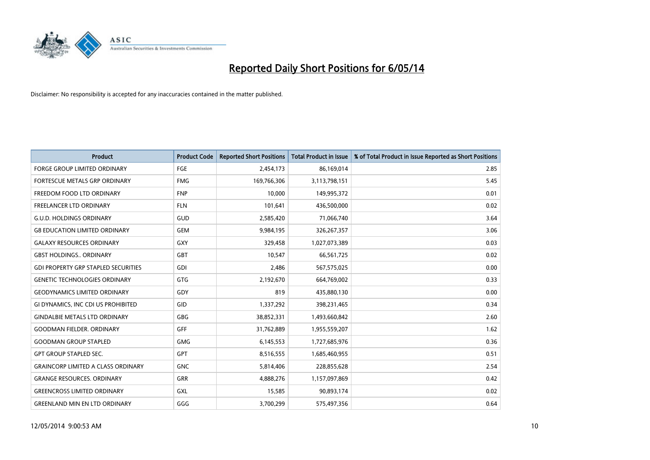

| <b>Product</b>                             | <b>Product Code</b> | <b>Reported Short Positions</b> | <b>Total Product in Issue</b> | % of Total Product in Issue Reported as Short Positions |
|--------------------------------------------|---------------------|---------------------------------|-------------------------------|---------------------------------------------------------|
| <b>FORGE GROUP LIMITED ORDINARY</b>        | FGE                 | 2,454,173                       | 86,169,014                    | 2.85                                                    |
| FORTESCUE METALS GRP ORDINARY              | <b>FMG</b>          | 169,766,306                     | 3,113,798,151                 | 5.45                                                    |
| FREEDOM FOOD LTD ORDINARY                  | <b>FNP</b>          | 10,000                          | 149,995,372                   | 0.01                                                    |
| FREELANCER LTD ORDINARY                    | <b>FLN</b>          | 101,641                         | 436,500,000                   | 0.02                                                    |
| <b>G.U.D. HOLDINGS ORDINARY</b>            | GUD                 | 2,585,420                       | 71,066,740                    | 3.64                                                    |
| <b>G8 EDUCATION LIMITED ORDINARY</b>       | <b>GEM</b>          | 9,984,195                       | 326,267,357                   | 3.06                                                    |
| <b>GALAXY RESOURCES ORDINARY</b>           | GXY                 | 329,458                         | 1,027,073,389                 | 0.03                                                    |
| <b>GBST HOLDINGS., ORDINARY</b>            | <b>GBT</b>          | 10,547                          | 66,561,725                    | 0.02                                                    |
| <b>GDI PROPERTY GRP STAPLED SECURITIES</b> | <b>GDI</b>          | 2,486                           | 567,575,025                   | 0.00                                                    |
| <b>GENETIC TECHNOLOGIES ORDINARY</b>       | <b>GTG</b>          | 2,192,670                       | 664,769,002                   | 0.33                                                    |
| <b>GEODYNAMICS LIMITED ORDINARY</b>        | GDY                 | 819                             | 435,880,130                   | 0.00                                                    |
| GI DYNAMICS, INC CDI US PROHIBITED         | GID                 | 1,337,292                       | 398,231,465                   | 0.34                                                    |
| <b>GINDALBIE METALS LTD ORDINARY</b>       | <b>GBG</b>          | 38,852,331                      | 1,493,660,842                 | 2.60                                                    |
| <b>GOODMAN FIELDER, ORDINARY</b>           | GFF                 | 31,762,889                      | 1,955,559,207                 | 1.62                                                    |
| <b>GOODMAN GROUP STAPLED</b>               | <b>GMG</b>          | 6,145,553                       | 1,727,685,976                 | 0.36                                                    |
| <b>GPT GROUP STAPLED SEC.</b>              | <b>GPT</b>          | 8,516,555                       | 1,685,460,955                 | 0.51                                                    |
| <b>GRAINCORP LIMITED A CLASS ORDINARY</b>  | <b>GNC</b>          | 5,814,406                       | 228,855,628                   | 2.54                                                    |
| <b>GRANGE RESOURCES. ORDINARY</b>          | GRR                 | 4,888,276                       | 1,157,097,869                 | 0.42                                                    |
| <b>GREENCROSS LIMITED ORDINARY</b>         | GXL                 | 15,585                          | 90,893,174                    | 0.02                                                    |
| <b>GREENLAND MIN EN LTD ORDINARY</b>       | GGG                 | 3,700,299                       | 575,497,356                   | 0.64                                                    |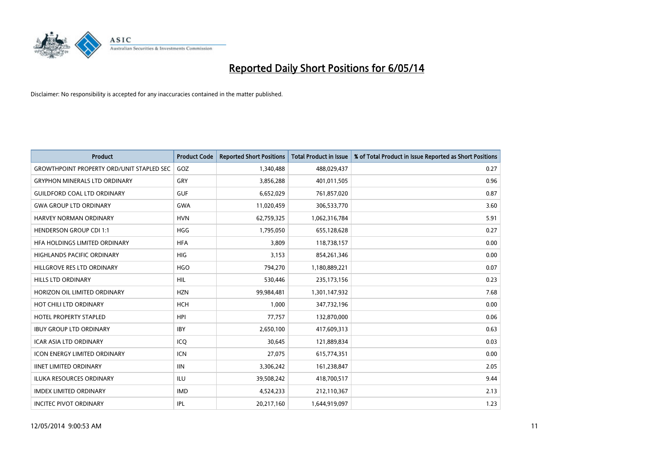

| <b>Product</b>                                   | <b>Product Code</b> | <b>Reported Short Positions</b> | <b>Total Product in Issue</b> | % of Total Product in Issue Reported as Short Positions |
|--------------------------------------------------|---------------------|---------------------------------|-------------------------------|---------------------------------------------------------|
| <b>GROWTHPOINT PROPERTY ORD/UNIT STAPLED SEC</b> | GOZ                 | 1,340,488                       | 488,029,437                   | 0.27                                                    |
| <b>GRYPHON MINERALS LTD ORDINARY</b>             | GRY                 | 3,856,288                       | 401,011,505                   | 0.96                                                    |
| <b>GUILDFORD COAL LTD ORDINARY</b>               | <b>GUF</b>          | 6,652,029                       | 761,857,020                   | 0.87                                                    |
| <b>GWA GROUP LTD ORDINARY</b>                    | <b>GWA</b>          | 11,020,459                      | 306,533,770                   | 3.60                                                    |
| HARVEY NORMAN ORDINARY                           | <b>HVN</b>          | 62,759,325                      | 1,062,316,784                 | 5.91                                                    |
| <b>HENDERSON GROUP CDI 1:1</b>                   | <b>HGG</b>          | 1,795,050                       | 655,128,628                   | 0.27                                                    |
| HFA HOLDINGS LIMITED ORDINARY                    | <b>HFA</b>          | 3.809                           | 118,738,157                   | 0.00                                                    |
| <b>HIGHLANDS PACIFIC ORDINARY</b>                | <b>HIG</b>          | 3,153                           | 854,261,346                   | 0.00                                                    |
| HILLGROVE RES LTD ORDINARY                       | <b>HGO</b>          | 794,270                         | 1,180,889,221                 | 0.07                                                    |
| <b>HILLS LTD ORDINARY</b>                        | <b>HIL</b>          | 530,446                         | 235, 173, 156                 | 0.23                                                    |
| HORIZON OIL LIMITED ORDINARY                     | <b>HZN</b>          | 99,984,481                      | 1,301,147,932                 | 7.68                                                    |
| HOT CHILI LTD ORDINARY                           | HCH                 | 1,000                           | 347,732,196                   | 0.00                                                    |
| <b>HOTEL PROPERTY STAPLED</b>                    | <b>HPI</b>          | 77,757                          | 132,870,000                   | 0.06                                                    |
| <b>IBUY GROUP LTD ORDINARY</b>                   | <b>IBY</b>          | 2,650,100                       | 417,609,313                   | 0.63                                                    |
| <b>ICAR ASIA LTD ORDINARY</b>                    | ICO                 | 30,645                          | 121,889,834                   | 0.03                                                    |
| <b>ICON ENERGY LIMITED ORDINARY</b>              | <b>ICN</b>          | 27,075                          | 615,774,351                   | 0.00                                                    |
| <b>IINET LIMITED ORDINARY</b>                    | <b>IIN</b>          | 3,306,242                       | 161,238,847                   | 2.05                                                    |
| ILUKA RESOURCES ORDINARY                         | ILU                 | 39,508,242                      | 418,700,517                   | 9.44                                                    |
| <b>IMDEX LIMITED ORDINARY</b>                    | <b>IMD</b>          | 4,524,233                       | 212,110,367                   | 2.13                                                    |
| <b>INCITEC PIVOT ORDINARY</b>                    | IPL                 | 20,217,160                      | 1,644,919,097                 | 1.23                                                    |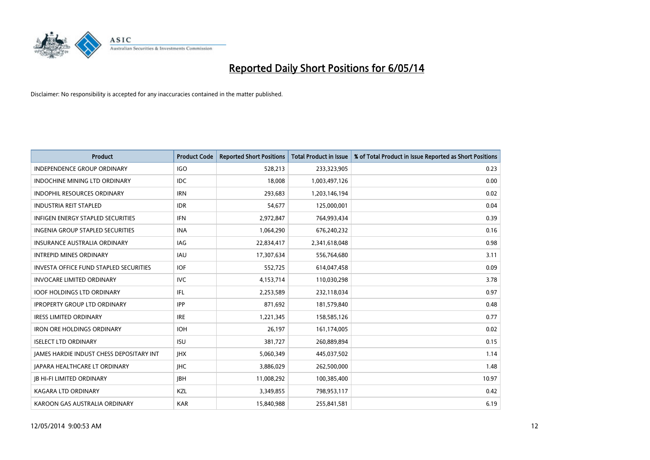

| <b>Product</b>                                  | <b>Product Code</b> | <b>Reported Short Positions</b> | <b>Total Product in Issue</b> | % of Total Product in Issue Reported as Short Positions |
|-------------------------------------------------|---------------------|---------------------------------|-------------------------------|---------------------------------------------------------|
| <b>INDEPENDENCE GROUP ORDINARY</b>              | <b>IGO</b>          | 528,213                         | 233,323,905                   | 0.23                                                    |
| INDOCHINE MINING LTD ORDINARY                   | <b>IDC</b>          | 18,008                          | 1,003,497,126                 | 0.00                                                    |
| <b>INDOPHIL RESOURCES ORDINARY</b>              | <b>IRN</b>          | 293,683                         | 1,203,146,194                 | 0.02                                                    |
| <b>INDUSTRIA REIT STAPLED</b>                   | <b>IDR</b>          | 54,677                          | 125,000,001                   | 0.04                                                    |
| <b>INFIGEN ENERGY STAPLED SECURITIES</b>        | <b>IFN</b>          | 2,972,847                       | 764,993,434                   | 0.39                                                    |
| INGENIA GROUP STAPLED SECURITIES                | <b>INA</b>          | 1,064,290                       | 676,240,232                   | 0.16                                                    |
| INSURANCE AUSTRALIA ORDINARY                    | IAG                 | 22,834,417                      | 2,341,618,048                 | 0.98                                                    |
| <b>INTREPID MINES ORDINARY</b>                  | <b>IAU</b>          | 17,307,634                      | 556,764,680                   | 3.11                                                    |
| INVESTA OFFICE FUND STAPLED SECURITIES          | <b>IOF</b>          | 552,725                         | 614,047,458                   | 0.09                                                    |
| <b>INVOCARE LIMITED ORDINARY</b>                | IVC                 | 4,153,714                       | 110,030,298                   | 3.78                                                    |
| <b>IOOF HOLDINGS LTD ORDINARY</b>               | IFL                 | 2,253,589                       | 232,118,034                   | 0.97                                                    |
| <b>IPROPERTY GROUP LTD ORDINARY</b>             | <b>IPP</b>          | 871,692                         | 181,579,840                   | 0.48                                                    |
| <b>IRESS LIMITED ORDINARY</b>                   | <b>IRE</b>          | 1,221,345                       | 158,585,126                   | 0.77                                                    |
| <b>IRON ORE HOLDINGS ORDINARY</b>               | <b>IOH</b>          | 26.197                          | 161,174,005                   | 0.02                                                    |
| <b>ISELECT LTD ORDINARY</b>                     | <b>ISU</b>          | 381,727                         | 260,889,894                   | 0.15                                                    |
| <b>JAMES HARDIE INDUST CHESS DEPOSITARY INT</b> | <b>IHX</b>          | 5,060,349                       | 445,037,502                   | 1.14                                                    |
| <b>JAPARA HEALTHCARE LT ORDINARY</b>            | <b>IHC</b>          | 3,886,029                       | 262,500,000                   | 1.48                                                    |
| <b>JB HI-FI LIMITED ORDINARY</b>                | <b>JBH</b>          | 11,008,292                      | 100,385,400                   | 10.97                                                   |
| <b>KAGARA LTD ORDINARY</b>                      | KZL                 | 3,349,855                       | 798,953,117                   | 0.42                                                    |
| KAROON GAS AUSTRALIA ORDINARY                   | <b>KAR</b>          | 15,840,988                      | 255,841,581                   | 6.19                                                    |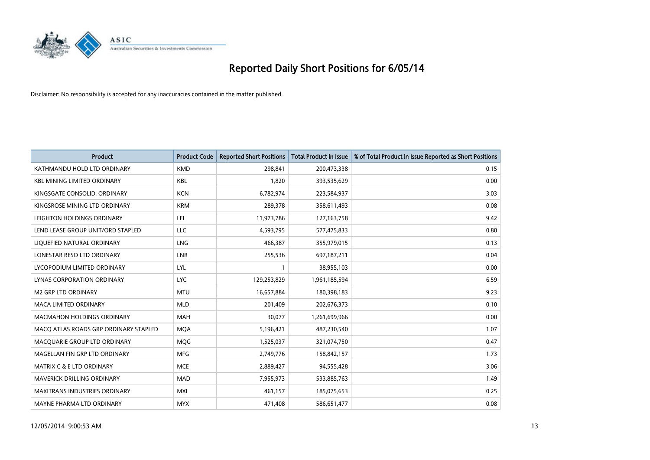

| <b>Product</b>                        | <b>Product Code</b> | <b>Reported Short Positions</b> | <b>Total Product in Issue</b> | % of Total Product in Issue Reported as Short Positions |
|---------------------------------------|---------------------|---------------------------------|-------------------------------|---------------------------------------------------------|
| KATHMANDU HOLD LTD ORDINARY           | <b>KMD</b>          | 298,841                         | 200,473,338                   | 0.15                                                    |
| <b>KBL MINING LIMITED ORDINARY</b>    | KBL                 | 1,820                           | 393,535,629                   | 0.00                                                    |
| KINGSGATE CONSOLID, ORDINARY          | <b>KCN</b>          | 6,782,974                       | 223,584,937                   | 3.03                                                    |
| KINGSROSE MINING LTD ORDINARY         | <b>KRM</b>          | 289,378                         | 358,611,493                   | 0.08                                                    |
| LEIGHTON HOLDINGS ORDINARY            | LEI                 | 11,973,786                      | 127, 163, 758                 | 9.42                                                    |
| LEND LEASE GROUP UNIT/ORD STAPLED     | <b>LLC</b>          | 4,593,795                       | 577,475,833                   | 0.80                                                    |
| LIQUEFIED NATURAL ORDINARY            | <b>LNG</b>          | 466,387                         | 355,979,015                   | 0.13                                                    |
| LONESTAR RESO LTD ORDINARY            | LNR                 | 255,536                         | 697,187,211                   | 0.04                                                    |
| LYCOPODIUM LIMITED ORDINARY           | LYL                 | 1                               | 38,955,103                    | 0.00                                                    |
| <b>LYNAS CORPORATION ORDINARY</b>     | <b>LYC</b>          | 129,253,829                     | 1,961,185,594                 | 6.59                                                    |
| <b>M2 GRP LTD ORDINARY</b>            | <b>MTU</b>          | 16,657,884                      | 180,398,183                   | 9.23                                                    |
| <b>MACA LIMITED ORDINARY</b>          | <b>MLD</b>          | 201,409                         | 202,676,373                   | 0.10                                                    |
| MACMAHON HOLDINGS ORDINARY            | MAH                 | 30,077                          | 1,261,699,966                 | 0.00                                                    |
| MACO ATLAS ROADS GRP ORDINARY STAPLED | <b>MOA</b>          | 5,196,421                       | 487,230,540                   | 1.07                                                    |
| MACQUARIE GROUP LTD ORDINARY          | <b>MQG</b>          | 1,525,037                       | 321,074,750                   | 0.47                                                    |
| MAGELLAN FIN GRP LTD ORDINARY         | <b>MFG</b>          | 2,749,776                       | 158,842,157                   | 1.73                                                    |
| MATRIX C & E LTD ORDINARY             | <b>MCE</b>          | 2,889,427                       | 94,555,428                    | 3.06                                                    |
| <b>MAVERICK DRILLING ORDINARY</b>     | <b>MAD</b>          | 7,955,973                       | 533,885,763                   | 1.49                                                    |
| <b>MAXITRANS INDUSTRIES ORDINARY</b>  | MXI                 | 461,157                         | 185,075,653                   | 0.25                                                    |
| MAYNE PHARMA LTD ORDINARY             | <b>MYX</b>          | 471,408                         | 586,651,477                   | 0.08                                                    |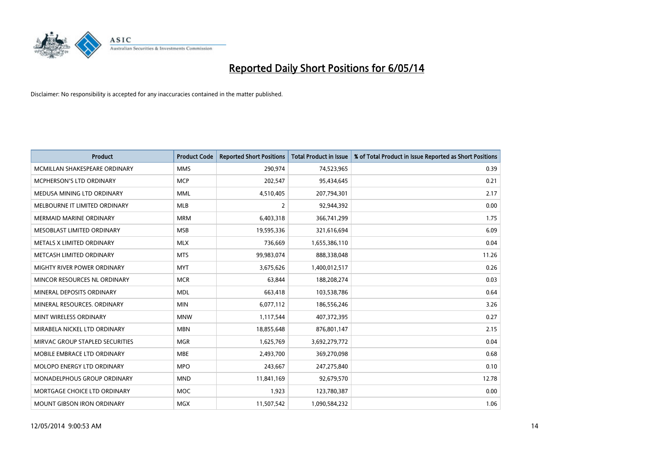

| <b>Product</b>                  | <b>Product Code</b> | <b>Reported Short Positions</b> | <b>Total Product in Issue</b> | % of Total Product in Issue Reported as Short Positions |
|---------------------------------|---------------------|---------------------------------|-------------------------------|---------------------------------------------------------|
| MCMILLAN SHAKESPEARE ORDINARY   | <b>MMS</b>          | 290,974                         | 74,523,965                    | 0.39                                                    |
| <b>MCPHERSON'S LTD ORDINARY</b> | <b>MCP</b>          | 202,547                         | 95,434,645                    | 0.21                                                    |
| MEDUSA MINING LTD ORDINARY      | <b>MML</b>          | 4,510,405                       | 207,794,301                   | 2.17                                                    |
| MELBOURNE IT LIMITED ORDINARY   | <b>MLB</b>          | 2                               | 92,944,392                    | 0.00                                                    |
| <b>MERMAID MARINE ORDINARY</b>  | <b>MRM</b>          | 6,403,318                       | 366,741,299                   | 1.75                                                    |
| MESOBLAST LIMITED ORDINARY      | <b>MSB</b>          | 19,595,336                      | 321,616,694                   | 6.09                                                    |
| METALS X LIMITED ORDINARY       | <b>MLX</b>          | 736,669                         | 1,655,386,110                 | 0.04                                                    |
| METCASH LIMITED ORDINARY        | <b>MTS</b>          | 99,983,074                      | 888,338,048                   | 11.26                                                   |
| MIGHTY RIVER POWER ORDINARY     | <b>MYT</b>          | 3,675,626                       | 1,400,012,517                 | 0.26                                                    |
| MINCOR RESOURCES NL ORDINARY    | <b>MCR</b>          | 63,844                          | 188,208,274                   | 0.03                                                    |
| MINERAL DEPOSITS ORDINARY       | <b>MDL</b>          | 663,418                         | 103,538,786                   | 0.64                                                    |
| MINERAL RESOURCES. ORDINARY     | <b>MIN</b>          | 6,077,112                       | 186,556,246                   | 3.26                                                    |
| MINT WIRELESS ORDINARY          | <b>MNW</b>          | 1,117,544                       | 407,372,395                   | 0.27                                                    |
| MIRABELA NICKEL LTD ORDINARY    | <b>MBN</b>          | 18,855,648                      | 876,801,147                   | 2.15                                                    |
| MIRVAC GROUP STAPLED SECURITIES | <b>MGR</b>          | 1,625,769                       | 3,692,279,772                 | 0.04                                                    |
| MOBILE EMBRACE LTD ORDINARY     | <b>MBE</b>          | 2,493,700                       | 369,270,098                   | 0.68                                                    |
| MOLOPO ENERGY LTD ORDINARY      | <b>MPO</b>          | 243,667                         | 247,275,840                   | 0.10                                                    |
| MONADELPHOUS GROUP ORDINARY     | <b>MND</b>          | 11,841,169                      | 92,679,570                    | 12.78                                                   |
| MORTGAGE CHOICE LTD ORDINARY    | <b>MOC</b>          | 1,923                           | 123,780,387                   | 0.00                                                    |
| MOUNT GIBSON IRON ORDINARY      | <b>MGX</b>          | 11,507,542                      | 1,090,584,232                 | 1.06                                                    |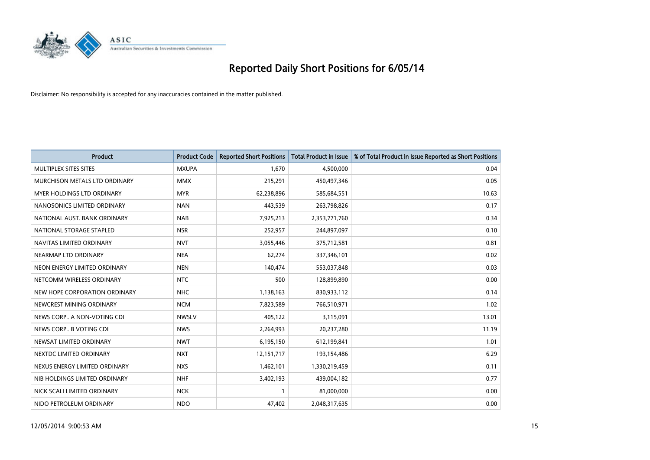

| <b>Product</b>                | <b>Product Code</b> | <b>Reported Short Positions</b> | <b>Total Product in Issue</b> | % of Total Product in Issue Reported as Short Positions |
|-------------------------------|---------------------|---------------------------------|-------------------------------|---------------------------------------------------------|
| MULTIPLEX SITES SITES         | <b>MXUPA</b>        | 1.670                           | 4,500,000                     | 0.04                                                    |
| MURCHISON METALS LTD ORDINARY | <b>MMX</b>          | 215,291                         | 450,497,346                   | 0.05                                                    |
| MYER HOLDINGS LTD ORDINARY    | <b>MYR</b>          | 62,238,896                      | 585,684,551                   | 10.63                                                   |
| NANOSONICS LIMITED ORDINARY   | <b>NAN</b>          | 443,539                         | 263,798,826                   | 0.17                                                    |
| NATIONAL AUST, BANK ORDINARY  | <b>NAB</b>          | 7,925,213                       | 2,353,771,760                 | 0.34                                                    |
| NATIONAL STORAGE STAPLED      | <b>NSR</b>          | 252,957                         | 244,897,097                   | 0.10                                                    |
| NAVITAS LIMITED ORDINARY      | <b>NVT</b>          | 3,055,446                       | 375,712,581                   | 0.81                                                    |
| NEARMAP LTD ORDINARY          | <b>NEA</b>          | 62,274                          | 337,346,101                   | 0.02                                                    |
| NEON ENERGY LIMITED ORDINARY  | <b>NEN</b>          | 140,474                         | 553,037,848                   | 0.03                                                    |
| NETCOMM WIRELESS ORDINARY     | <b>NTC</b>          | 500                             | 128,899,890                   | 0.00                                                    |
| NEW HOPE CORPORATION ORDINARY | <b>NHC</b>          | 1,138,163                       | 830,933,112                   | 0.14                                                    |
| NEWCREST MINING ORDINARY      | <b>NCM</b>          | 7,823,589                       | 766,510,971                   | 1.02                                                    |
| NEWS CORP A NON-VOTING CDI    | <b>NWSLV</b>        | 405,122                         | 3,115,091                     | 13.01                                                   |
| NEWS CORP B VOTING CDI        | <b>NWS</b>          | 2,264,993                       | 20,237,280                    | 11.19                                                   |
| NEWSAT LIMITED ORDINARY       | <b>NWT</b>          | 6,195,150                       | 612,199,841                   | 1.01                                                    |
| NEXTDC LIMITED ORDINARY       | <b>NXT</b>          | 12,151,717                      | 193,154,486                   | 6.29                                                    |
| NEXUS ENERGY LIMITED ORDINARY | <b>NXS</b>          | 1,462,101                       | 1,330,219,459                 | 0.11                                                    |
| NIB HOLDINGS LIMITED ORDINARY | <b>NHF</b>          | 3,402,193                       | 439,004,182                   | 0.77                                                    |
| NICK SCALI LIMITED ORDINARY   | <b>NCK</b>          | 1                               | 81,000,000                    | 0.00                                                    |
| NIDO PETROLEUM ORDINARY       | <b>NDO</b>          | 47,402                          | 2,048,317,635                 | 0.00                                                    |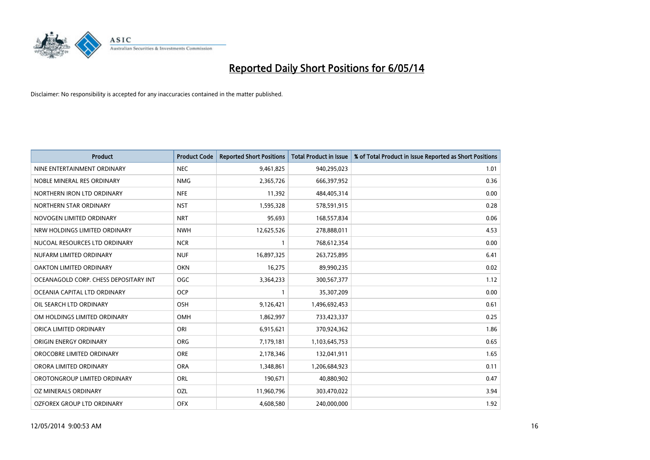

| <b>Product</b>                        | <b>Product Code</b> | <b>Reported Short Positions</b> | <b>Total Product in Issue</b> | % of Total Product in Issue Reported as Short Positions |
|---------------------------------------|---------------------|---------------------------------|-------------------------------|---------------------------------------------------------|
| NINE ENTERTAINMENT ORDINARY           | <b>NEC</b>          | 9,461,825                       | 940,295,023                   | 1.01                                                    |
| NOBLE MINERAL RES ORDINARY            | <b>NMG</b>          | 2,365,726                       | 666,397,952                   | 0.36                                                    |
| NORTHERN IRON LTD ORDINARY            | <b>NFE</b>          | 11,392                          | 484,405,314                   | 0.00                                                    |
| NORTHERN STAR ORDINARY                | <b>NST</b>          | 1,595,328                       | 578,591,915                   | 0.28                                                    |
| NOVOGEN LIMITED ORDINARY              | <b>NRT</b>          | 95,693                          | 168,557,834                   | 0.06                                                    |
| NRW HOLDINGS LIMITED ORDINARY         | <b>NWH</b>          | 12,625,526                      | 278,888,011                   | 4.53                                                    |
| NUCOAL RESOURCES LTD ORDINARY         | <b>NCR</b>          |                                 | 768,612,354                   | 0.00                                                    |
| NUFARM LIMITED ORDINARY               | <b>NUF</b>          | 16,897,325                      | 263,725,895                   | 6.41                                                    |
| OAKTON LIMITED ORDINARY               | <b>OKN</b>          | 16,275                          | 89,990,235                    | 0.02                                                    |
| OCEANAGOLD CORP. CHESS DEPOSITARY INT | <b>OGC</b>          | 3,364,233                       | 300,567,377                   | 1.12                                                    |
| OCEANIA CAPITAL LTD ORDINARY          | <b>OCP</b>          |                                 | 35,307,209                    | 0.00                                                    |
| OIL SEARCH LTD ORDINARY               | OSH                 | 9,126,421                       | 1,496,692,453                 | 0.61                                                    |
| OM HOLDINGS LIMITED ORDINARY          | OMH                 | 1,862,997                       | 733,423,337                   | 0.25                                                    |
| ORICA LIMITED ORDINARY                | ORI                 | 6,915,621                       | 370,924,362                   | 1.86                                                    |
| ORIGIN ENERGY ORDINARY                | <b>ORG</b>          | 7,179,181                       | 1,103,645,753                 | 0.65                                                    |
| OROCOBRE LIMITED ORDINARY             | <b>ORE</b>          | 2,178,346                       | 132,041,911                   | 1.65                                                    |
| ORORA LIMITED ORDINARY                | <b>ORA</b>          | 1,348,861                       | 1,206,684,923                 | 0.11                                                    |
| OROTONGROUP LIMITED ORDINARY          | ORL                 | 190,671                         | 40,880,902                    | 0.47                                                    |
| OZ MINERALS ORDINARY                  | OZL                 | 11,960,796                      | 303,470,022                   | 3.94                                                    |
| OZFOREX GROUP LTD ORDINARY            | <b>OFX</b>          | 4,608,580                       | 240,000,000                   | 1.92                                                    |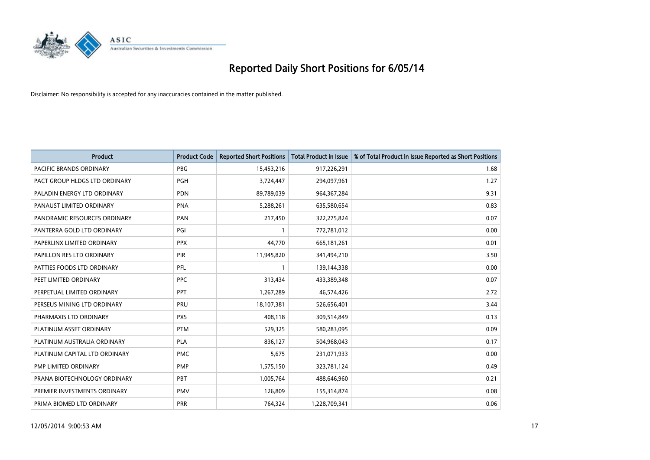

| <b>Product</b>                 | <b>Product Code</b> | <b>Reported Short Positions</b> | <b>Total Product in Issue</b> | % of Total Product in Issue Reported as Short Positions |
|--------------------------------|---------------------|---------------------------------|-------------------------------|---------------------------------------------------------|
| <b>PACIFIC BRANDS ORDINARY</b> | <b>PBG</b>          | 15,453,216                      | 917,226,291                   | 1.68                                                    |
| PACT GROUP HLDGS LTD ORDINARY  | <b>PGH</b>          | 3,724,447                       | 294,097,961                   | 1.27                                                    |
| PALADIN ENERGY LTD ORDINARY    | <b>PDN</b>          | 89,789,039                      | 964, 367, 284                 | 9.31                                                    |
| PANAUST LIMITED ORDINARY       | <b>PNA</b>          | 5,288,261                       | 635,580,654                   | 0.83                                                    |
| PANORAMIC RESOURCES ORDINARY   | PAN                 | 217,450                         | 322,275,824                   | 0.07                                                    |
| PANTERRA GOLD LTD ORDINARY     | PGI                 |                                 | 772,781,012                   | 0.00                                                    |
| PAPERLINX LIMITED ORDINARY     | <b>PPX</b>          | 44,770                          | 665, 181, 261                 | 0.01                                                    |
| PAPILLON RES LTD ORDINARY      | PIR                 | 11,945,820                      | 341,494,210                   | 3.50                                                    |
| PATTIES FOODS LTD ORDINARY     | PFL                 | $\mathbf{1}$                    | 139,144,338                   | 0.00                                                    |
| PEET LIMITED ORDINARY          | <b>PPC</b>          | 313,434                         | 433,389,348                   | 0.07                                                    |
| PERPETUAL LIMITED ORDINARY     | PPT                 | 1,267,289                       | 46,574,426                    | 2.72                                                    |
| PERSEUS MINING LTD ORDINARY    | PRU                 | 18,107,381                      | 526,656,401                   | 3.44                                                    |
| PHARMAXIS LTD ORDINARY         | <b>PXS</b>          | 408,118                         | 309,514,849                   | 0.13                                                    |
| PLATINUM ASSET ORDINARY        | <b>PTM</b>          | 529,325                         | 580,283,095                   | 0.09                                                    |
| PLATINUM AUSTRALIA ORDINARY    | <b>PLA</b>          | 836,127                         | 504,968,043                   | 0.17                                                    |
| PLATINUM CAPITAL LTD ORDINARY  | <b>PMC</b>          | 5,675                           | 231,071,933                   | 0.00                                                    |
| PMP LIMITED ORDINARY           | <b>PMP</b>          | 1,575,150                       | 323,781,124                   | 0.49                                                    |
| PRANA BIOTECHNOLOGY ORDINARY   | <b>PBT</b>          | 1,005,764                       | 488,646,960                   | 0.21                                                    |
| PREMIER INVESTMENTS ORDINARY   | <b>PMV</b>          | 126,809                         | 155,314,874                   | 0.08                                                    |
| PRIMA BIOMED LTD ORDINARY      | <b>PRR</b>          | 764,324                         | 1,228,709,341                 | 0.06                                                    |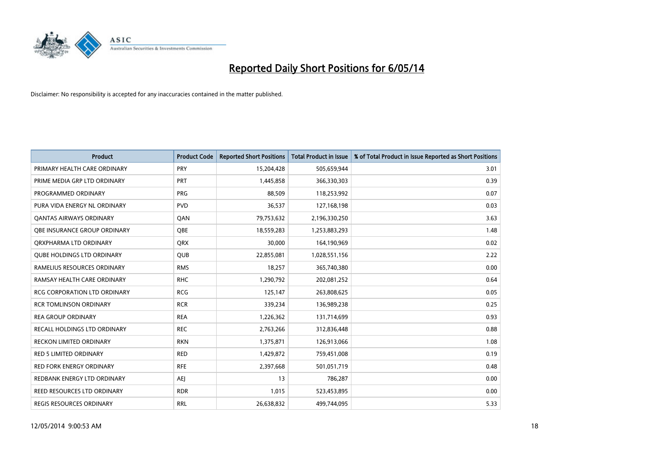

| <b>Product</b>                      | <b>Product Code</b> | <b>Reported Short Positions</b> | <b>Total Product in Issue</b> | % of Total Product in Issue Reported as Short Positions |
|-------------------------------------|---------------------|---------------------------------|-------------------------------|---------------------------------------------------------|
| PRIMARY HEALTH CARE ORDINARY        | <b>PRY</b>          | 15,204,428                      | 505,659,944                   | 3.01                                                    |
| PRIME MEDIA GRP LTD ORDINARY        | PRT                 | 1,445,858                       | 366,330,303                   | 0.39                                                    |
| PROGRAMMED ORDINARY                 | <b>PRG</b>          | 88,509                          | 118,253,992                   | 0.07                                                    |
| PURA VIDA ENERGY NL ORDINARY        | <b>PVD</b>          | 36,537                          | 127,168,198                   | 0.03                                                    |
| OANTAS AIRWAYS ORDINARY             | QAN                 | 79,753,632                      | 2,196,330,250                 | 3.63                                                    |
| OBE INSURANCE GROUP ORDINARY        | <b>OBE</b>          | 18,559,283                      | 1,253,883,293                 | 1.48                                                    |
| ORXPHARMA LTD ORDINARY              | <b>QRX</b>          | 30,000                          | 164,190,969                   | 0.02                                                    |
| <b>QUBE HOLDINGS LTD ORDINARY</b>   | <b>QUB</b>          | 22,855,081                      | 1,028,551,156                 | 2.22                                                    |
| RAMELIUS RESOURCES ORDINARY         | <b>RMS</b>          | 18,257                          | 365,740,380                   | 0.00                                                    |
| RAMSAY HEALTH CARE ORDINARY         | <b>RHC</b>          | 1,290,792                       | 202,081,252                   | 0.64                                                    |
| RCG CORPORATION LTD ORDINARY        | <b>RCG</b>          | 125,147                         | 263,808,625                   | 0.05                                                    |
| <b>RCR TOMLINSON ORDINARY</b>       | <b>RCR</b>          | 339,234                         | 136,989,238                   | 0.25                                                    |
| <b>REA GROUP ORDINARY</b>           | <b>REA</b>          | 1,226,362                       | 131,714,699                   | 0.93                                                    |
| <b>RECALL HOLDINGS LTD ORDINARY</b> | <b>REC</b>          | 2,763,266                       | 312,836,448                   | 0.88                                                    |
| <b>RECKON LIMITED ORDINARY</b>      | <b>RKN</b>          | 1,375,871                       | 126,913,066                   | 1.08                                                    |
| RED 5 LIMITED ORDINARY              | <b>RED</b>          | 1,429,872                       | 759,451,008                   | 0.19                                                    |
| RED FORK ENERGY ORDINARY            | <b>RFE</b>          | 2,397,668                       | 501,051,719                   | 0.48                                                    |
| REDBANK ENERGY LTD ORDINARY         | AEJ                 | 13                              | 786,287                       | 0.00                                                    |
| <b>REED RESOURCES LTD ORDINARY</b>  | <b>RDR</b>          | 1,015                           | 523,453,895                   | 0.00                                                    |
| REGIS RESOURCES ORDINARY            | <b>RRL</b>          | 26,638,832                      | 499,744,095                   | 5.33                                                    |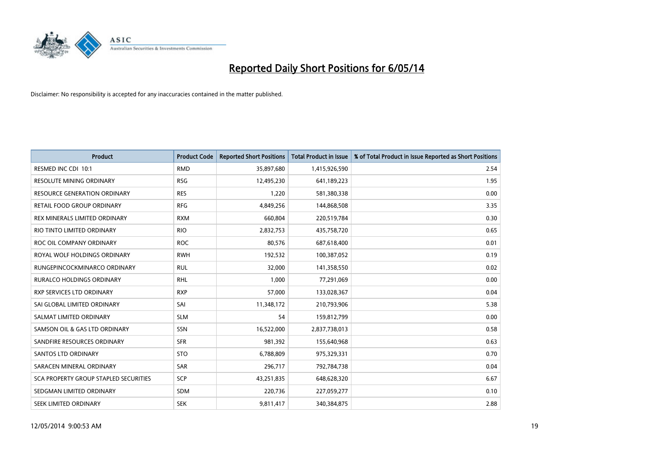

| <b>Product</b>                               | <b>Product Code</b> | <b>Reported Short Positions</b> | <b>Total Product in Issue</b> | % of Total Product in Issue Reported as Short Positions |
|----------------------------------------------|---------------------|---------------------------------|-------------------------------|---------------------------------------------------------|
| RESMED INC CDI 10:1                          | <b>RMD</b>          | 35,897,680                      | 1,415,926,590                 | 2.54                                                    |
| <b>RESOLUTE MINING ORDINARY</b>              | <b>RSG</b>          | 12,495,230                      | 641,189,223                   | 1.95                                                    |
| <b>RESOURCE GENERATION ORDINARY</b>          | <b>RES</b>          | 1,220                           | 581,380,338                   | 0.00                                                    |
| RETAIL FOOD GROUP ORDINARY                   | <b>RFG</b>          | 4,849,256                       | 144,868,508                   | 3.35                                                    |
| REX MINERALS LIMITED ORDINARY                | <b>RXM</b>          | 660,804                         | 220,519,784                   | 0.30                                                    |
| RIO TINTO LIMITED ORDINARY                   | <b>RIO</b>          | 2,832,753                       | 435,758,720                   | 0.65                                                    |
| ROC OIL COMPANY ORDINARY                     | <b>ROC</b>          | 80,576                          | 687,618,400                   | 0.01                                                    |
| ROYAL WOLF HOLDINGS ORDINARY                 | <b>RWH</b>          | 192,532                         | 100,387,052                   | 0.19                                                    |
| RUNGEPINCOCKMINARCO ORDINARY                 | <b>RUL</b>          | 32,000                          | 141,358,550                   | 0.02                                                    |
| <b>RURALCO HOLDINGS ORDINARY</b>             | <b>RHL</b>          | 1,000                           | 77,291,069                    | 0.00                                                    |
| RXP SERVICES LTD ORDINARY                    | <b>RXP</b>          | 57,000                          | 133,028,367                   | 0.04                                                    |
| SAI GLOBAL LIMITED ORDINARY                  | SAI                 | 11,348,172                      | 210,793,906                   | 5.38                                                    |
| SALMAT LIMITED ORDINARY                      | <b>SLM</b>          | 54                              | 159,812,799                   | 0.00                                                    |
| SAMSON OIL & GAS LTD ORDINARY                | SSN                 | 16,522,000                      | 2,837,738,013                 | 0.58                                                    |
| SANDFIRE RESOURCES ORDINARY                  | <b>SFR</b>          | 981,392                         | 155,640,968                   | 0.63                                                    |
| SANTOS LTD ORDINARY                          | <b>STO</b>          | 6,788,809                       | 975,329,331                   | 0.70                                                    |
| SARACEN MINERAL ORDINARY                     | SAR                 | 296,717                         | 792,784,738                   | 0.04                                                    |
| <b>SCA PROPERTY GROUP STAPLED SECURITIES</b> | <b>SCP</b>          | 43,251,835                      | 648,628,320                   | 6.67                                                    |
| SEDGMAN LIMITED ORDINARY                     | <b>SDM</b>          | 220,736                         | 227,059,277                   | 0.10                                                    |
| SEEK LIMITED ORDINARY                        | <b>SEK</b>          | 9,811,417                       | 340,384,875                   | 2.88                                                    |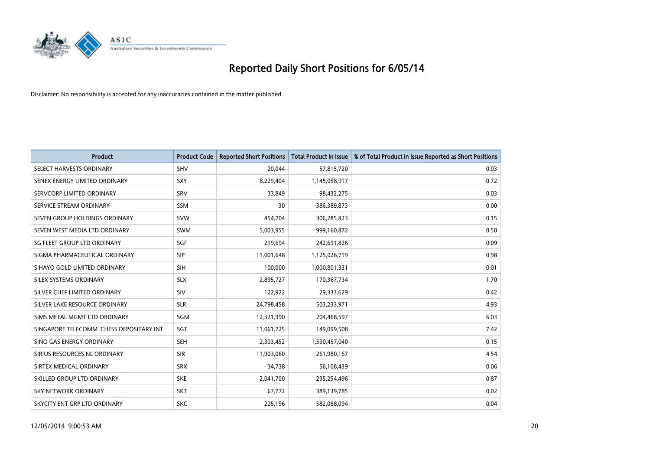

| <b>Product</b>                           | <b>Product Code</b> | <b>Reported Short Positions</b> | <b>Total Product in Issue</b> | % of Total Product in Issue Reported as Short Positions |
|------------------------------------------|---------------------|---------------------------------|-------------------------------|---------------------------------------------------------|
| SELECT HARVESTS ORDINARY                 | <b>SHV</b>          | 20,044                          | 57,815,720                    | 0.03                                                    |
| SENEX ENERGY LIMITED ORDINARY            | <b>SXY</b>          | 8,229,404                       | 1,145,058,917                 | 0.72                                                    |
| SERVCORP LIMITED ORDINARY                | SRV                 | 33,849                          | 98,432,275                    | 0.03                                                    |
| SERVICE STREAM ORDINARY                  | <b>SSM</b>          | 30                              | 386,389,873                   | 0.00                                                    |
| SEVEN GROUP HOLDINGS ORDINARY            | <b>SVW</b>          | 454,704                         | 306,285,823                   | 0.15                                                    |
| SEVEN WEST MEDIA LTD ORDINARY            | <b>SWM</b>          | 5,003,955                       | 999,160,872                   | 0.50                                                    |
| SG FLEET GROUP LTD ORDINARY              | SGF                 | 219,694                         | 242,691,826                   | 0.09                                                    |
| SIGMA PHARMACEUTICAL ORDINARY            | <b>SIP</b>          | 11,001,648                      | 1,125,026,719                 | 0.98                                                    |
| SIHAYO GOLD LIMITED ORDINARY             | <b>SIH</b>          | 100,000                         | 1,000,801,331                 | 0.01                                                    |
| SILEX SYSTEMS ORDINARY                   | <b>SLX</b>          | 2,895,727                       | 170,367,734                   | 1.70                                                    |
| SILVER CHEF LIMITED ORDINARY             | SIV                 | 122,922                         | 29,333,629                    | 0.42                                                    |
| SILVER LAKE RESOURCE ORDINARY            | <b>SLR</b>          | 24,798,458                      | 503,233,971                   | 4.93                                                    |
| SIMS METAL MGMT LTD ORDINARY             | SGM                 | 12,321,990                      | 204,468,597                   | 6.03                                                    |
| SINGAPORE TELECOMM. CHESS DEPOSITARY INT | SGT                 | 11,061,725                      | 149,099,508                   | 7.42                                                    |
| SINO GAS ENERGY ORDINARY                 | <b>SEH</b>          | 2,303,452                       | 1,530,457,040                 | 0.15                                                    |
| SIRIUS RESOURCES NL ORDINARY             | <b>SIR</b>          | 11,903,060                      | 261,980,167                   | 4.54                                                    |
| SIRTEX MEDICAL ORDINARY                  | <b>SRX</b>          | 34,738                          | 56,108,439                    | 0.06                                                    |
| SKILLED GROUP LTD ORDINARY               | <b>SKE</b>          | 2,041,700                       | 235,254,496                   | 0.87                                                    |
| <b>SKY NETWORK ORDINARY</b>              | <b>SKT</b>          | 67,772                          | 389,139,785                   | 0.02                                                    |
| SKYCITY ENT GRP LTD ORDINARY             | <b>SKC</b>          | 225,196                         | 582,088,094                   | 0.04                                                    |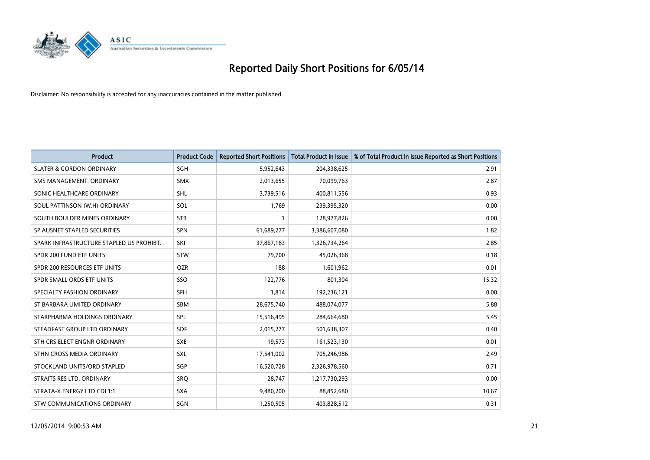

| <b>Product</b>                           | <b>Product Code</b> | <b>Reported Short Positions</b> | <b>Total Product in Issue</b> | % of Total Product in Issue Reported as Short Positions |
|------------------------------------------|---------------------|---------------------------------|-------------------------------|---------------------------------------------------------|
| <b>SLATER &amp; GORDON ORDINARY</b>      | SGH                 | 5,952,643                       | 204,338,625                   | 2.91                                                    |
| SMS MANAGEMENT. ORDINARY                 | <b>SMX</b>          | 2,013,655                       | 70,099,763                    | 2.87                                                    |
| SONIC HEALTHCARE ORDINARY                | <b>SHL</b>          | 3,739,516                       | 400,811,556                   | 0.93                                                    |
| SOUL PATTINSON (W.H) ORDINARY            | <b>SOL</b>          | 1,769                           | 239,395,320                   | 0.00                                                    |
| SOUTH BOULDER MINES ORDINARY             | <b>STB</b>          | 1                               | 128,977,826                   | 0.00                                                    |
| SP AUSNET STAPLED SECURITIES             | <b>SPN</b>          | 61,689,277                      | 3,386,607,080                 | 1.82                                                    |
| SPARK INFRASTRUCTURE STAPLED US PROHIBT. | SKI                 | 37,867,183                      | 1,326,734,264                 | 2.85                                                    |
| SPDR 200 FUND ETF UNITS                  | <b>STW</b>          | 79,700                          | 45,026,368                    | 0.18                                                    |
| SPDR 200 RESOURCES ETF UNITS             | <b>OZR</b>          | 188                             | 1,601,962                     | 0.01                                                    |
| SPDR SMALL ORDS ETF UNITS                | SSO                 | 122,776                         | 801,304                       | 15.32                                                   |
| SPECIALTY FASHION ORDINARY               | <b>SFH</b>          | 1,814                           | 192,236,121                   | 0.00                                                    |
| ST BARBARA LIMITED ORDINARY              | SBM                 | 28,675,740                      | 488,074,077                   | 5.88                                                    |
| STARPHARMA HOLDINGS ORDINARY             | <b>SPL</b>          | 15,516,495                      | 284,664,680                   | 5.45                                                    |
| STEADFAST GROUP LTD ORDINARY             | <b>SDF</b>          | 2,015,277                       | 501,638,307                   | 0.40                                                    |
| STH CRS ELECT ENGNR ORDINARY             | <b>SXE</b>          | 19,573                          | 161,523,130                   | 0.01                                                    |
| STHN CROSS MEDIA ORDINARY                | SXL                 | 17,541,002                      | 705,246,986                   | 2.49                                                    |
| STOCKLAND UNITS/ORD STAPLED              | SGP                 | 16,520,728                      | 2,326,978,560                 | 0.71                                                    |
| STRAITS RES LTD. ORDINARY                | SRQ                 | 28,747                          | 1,217,730,293                 | 0.00                                                    |
| STRATA-X ENERGY LTD CDI 1:1              | <b>SXA</b>          | 9,480,200                       | 88,852,680                    | 10.67                                                   |
| <b>STW COMMUNICATIONS ORDINARY</b>       | SGN                 | 1,250,505                       | 403,828,512                   | 0.31                                                    |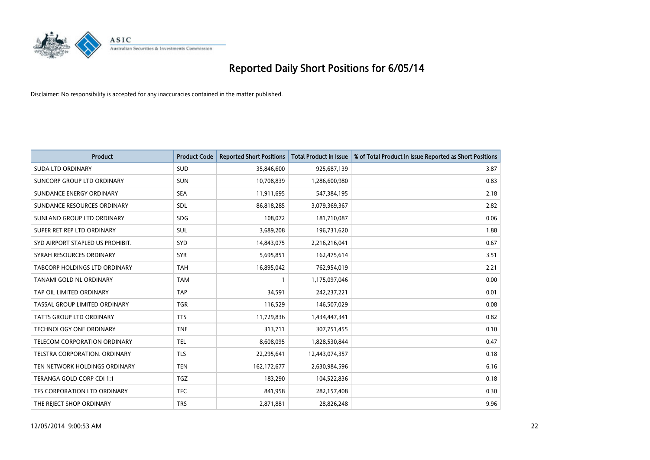

| <b>Product</b>                   | <b>Product Code</b> | <b>Reported Short Positions</b> | <b>Total Product in Issue</b> | % of Total Product in Issue Reported as Short Positions |
|----------------------------------|---------------------|---------------------------------|-------------------------------|---------------------------------------------------------|
| <b>SUDA LTD ORDINARY</b>         | <b>SUD</b>          | 35,846,600                      | 925,687,139                   | 3.87                                                    |
| SUNCORP GROUP LTD ORDINARY       | <b>SUN</b>          | 10,708,839                      | 1,286,600,980                 | 0.83                                                    |
| SUNDANCE ENERGY ORDINARY         | <b>SEA</b>          | 11,911,695                      | 547,384,195                   | 2.18                                                    |
| SUNDANCE RESOURCES ORDINARY      | <b>SDL</b>          | 86,818,285                      | 3,079,369,367                 | 2.82                                                    |
| SUNLAND GROUP LTD ORDINARY       | <b>SDG</b>          | 108,072                         | 181,710,087                   | 0.06                                                    |
| SUPER RET REP LTD ORDINARY       | <b>SUL</b>          | 3,689,208                       | 196,731,620                   | 1.88                                                    |
| SYD AIRPORT STAPLED US PROHIBIT. | <b>SYD</b>          | 14,843,075                      | 2,216,216,041                 | 0.67                                                    |
| SYRAH RESOURCES ORDINARY         | <b>SYR</b>          | 5,695,851                       | 162,475,614                   | 3.51                                                    |
| TABCORP HOLDINGS LTD ORDINARY    | <b>TAH</b>          | 16,895,042                      | 762,954,019                   | 2.21                                                    |
| TANAMI GOLD NL ORDINARY          | <b>TAM</b>          | $\mathbf{1}$                    | 1,175,097,046                 | 0.00                                                    |
| TAP OIL LIMITED ORDINARY         | <b>TAP</b>          | 34,591                          | 242,237,221                   | 0.01                                                    |
| TASSAL GROUP LIMITED ORDINARY    | <b>TGR</b>          | 116,529                         | 146,507,029                   | 0.08                                                    |
| TATTS GROUP LTD ORDINARY         | <b>TTS</b>          | 11,729,836                      | 1,434,447,341                 | 0.82                                                    |
| TECHNOLOGY ONE ORDINARY          | <b>TNE</b>          | 313,711                         | 307,751,455                   | 0.10                                                    |
| TELECOM CORPORATION ORDINARY     | <b>TEL</b>          | 8,608,095                       | 1,828,530,844                 | 0.47                                                    |
| TELSTRA CORPORATION. ORDINARY    | <b>TLS</b>          | 22,295,641                      | 12,443,074,357                | 0.18                                                    |
| TEN NETWORK HOLDINGS ORDINARY    | <b>TEN</b>          | 162,172,677                     | 2,630,984,596                 | 6.16                                                    |
| TERANGA GOLD CORP CDI 1:1        | <b>TGZ</b>          | 183,290                         | 104,522,836                   | 0.18                                                    |
| TFS CORPORATION LTD ORDINARY     | <b>TFC</b>          | 841,958                         | 282,157,408                   | 0.30                                                    |
| THE REJECT SHOP ORDINARY         | <b>TRS</b>          | 2,871,881                       | 28,826,248                    | 9.96                                                    |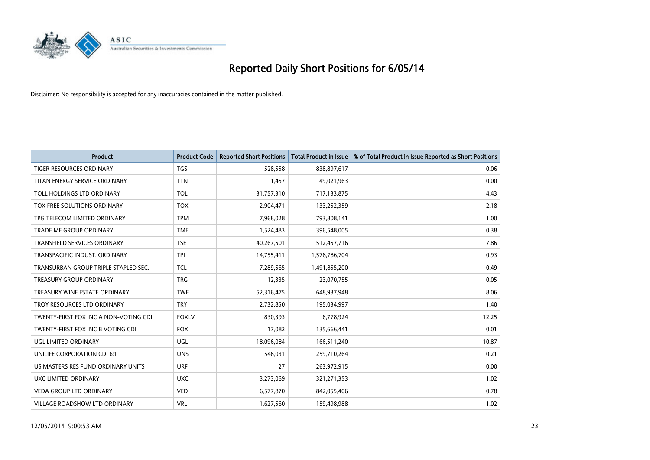

| <b>Product</b>                        | <b>Product Code</b> | <b>Reported Short Positions</b> | <b>Total Product in Issue</b> | % of Total Product in Issue Reported as Short Positions |
|---------------------------------------|---------------------|---------------------------------|-------------------------------|---------------------------------------------------------|
| <b>TIGER RESOURCES ORDINARY</b>       | <b>TGS</b>          | 528,558                         | 838,897,617                   | 0.06                                                    |
| TITAN ENERGY SERVICE ORDINARY         | <b>TTN</b>          | 1,457                           | 49,021,963                    | 0.00                                                    |
| TOLL HOLDINGS LTD ORDINARY            | <b>TOL</b>          | 31,757,310                      | 717,133,875                   | 4.43                                                    |
| TOX FREE SOLUTIONS ORDINARY           | <b>TOX</b>          | 2,904,471                       | 133,252,359                   | 2.18                                                    |
| TPG TELECOM LIMITED ORDINARY          | <b>TPM</b>          | 7,968,028                       | 793,808,141                   | 1.00                                                    |
| <b>TRADE ME GROUP ORDINARY</b>        | <b>TME</b>          | 1,524,483                       | 396,548,005                   | 0.38                                                    |
| <b>TRANSFIELD SERVICES ORDINARY</b>   | <b>TSE</b>          | 40,267,501                      | 512,457,716                   | 7.86                                                    |
| TRANSPACIFIC INDUST, ORDINARY         | <b>TPI</b>          | 14,755,411                      | 1,578,786,704                 | 0.93                                                    |
| TRANSURBAN GROUP TRIPLE STAPLED SEC.  | <b>TCL</b>          | 7,289,565                       | 1,491,855,200                 | 0.49                                                    |
| <b>TREASURY GROUP ORDINARY</b>        | <b>TRG</b>          | 12,335                          | 23,070,755                    | 0.05                                                    |
| TREASURY WINE ESTATE ORDINARY         | <b>TWE</b>          | 52,316,475                      | 648,937,948                   | 8.06                                                    |
| TROY RESOURCES LTD ORDINARY           | <b>TRY</b>          | 2,732,850                       | 195,034,997                   | 1.40                                                    |
| TWENTY-FIRST FOX INC A NON-VOTING CDI | <b>FOXLV</b>        | 830,393                         | 6,778,924                     | 12.25                                                   |
| TWENTY-FIRST FOX INC B VOTING CDI     | <b>FOX</b>          | 17,082                          | 135,666,441                   | 0.01                                                    |
| UGL LIMITED ORDINARY                  | UGL                 | 18,096,084                      | 166,511,240                   | 10.87                                                   |
| UNILIFE CORPORATION CDI 6:1           | <b>UNS</b>          | 546,031                         | 259,710,264                   | 0.21                                                    |
| US MASTERS RES FUND ORDINARY UNITS    | <b>URF</b>          | 27                              | 263,972,915                   | 0.00                                                    |
| UXC LIMITED ORDINARY                  | <b>UXC</b>          | 3,273,069                       | 321,271,353                   | 1.02                                                    |
| <b>VEDA GROUP LTD ORDINARY</b>        | <b>VED</b>          | 6,577,870                       | 842,055,406                   | 0.78                                                    |
| VILLAGE ROADSHOW LTD ORDINARY         | <b>VRL</b>          | 1,627,560                       | 159,498,988                   | 1.02                                                    |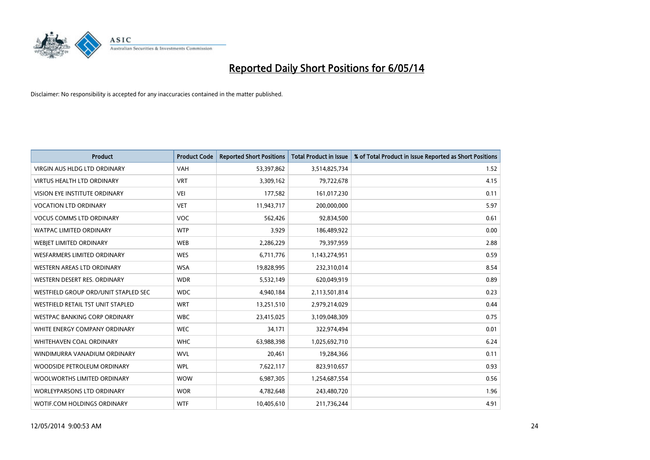

| <b>Product</b>                           | <b>Product Code</b> | <b>Reported Short Positions</b> | <b>Total Product in Issue</b> | % of Total Product in Issue Reported as Short Positions |
|------------------------------------------|---------------------|---------------------------------|-------------------------------|---------------------------------------------------------|
| VIRGIN AUS HLDG LTD ORDINARY             | <b>VAH</b>          | 53,397,862                      | 3,514,825,734                 | 1.52                                                    |
| VIRTUS HEALTH LTD ORDINARY               | <b>VRT</b>          | 3,309,162                       | 79,722,678                    | 4.15                                                    |
| <b>VISION EYE INSTITUTE ORDINARY</b>     | <b>VEI</b>          | 177,582                         | 161,017,230                   | 0.11                                                    |
| <b>VOCATION LTD ORDINARY</b>             | <b>VET</b>          | 11,943,717                      | 200,000,000                   | 5.97                                                    |
| <b>VOCUS COMMS LTD ORDINARY</b>          | <b>VOC</b>          | 562,426                         | 92,834,500                    | 0.61                                                    |
| <b>WATPAC LIMITED ORDINARY</b>           | <b>WTP</b>          | 3,929                           | 186,489,922                   | 0.00                                                    |
| <b>WEBIET LIMITED ORDINARY</b>           | <b>WEB</b>          | 2,286,229                       | 79,397,959                    | 2.88                                                    |
| <b>WESFARMERS LIMITED ORDINARY</b>       | <b>WES</b>          | 6,711,776                       | 1,143,274,951                 | 0.59                                                    |
| WESTERN AREAS LTD ORDINARY               | <b>WSA</b>          | 19,828,995                      | 232,310,014                   | 8.54                                                    |
| WESTERN DESERT RES. ORDINARY             | <b>WDR</b>          | 5,532,149                       | 620,049,919                   | 0.89                                                    |
| WESTFIELD GROUP ORD/UNIT STAPLED SEC     | <b>WDC</b>          | 4,940,184                       | 2,113,501,814                 | 0.23                                                    |
| <b>WESTFIELD RETAIL TST UNIT STAPLED</b> | <b>WRT</b>          | 13,251,510                      | 2,979,214,029                 | 0.44                                                    |
| WESTPAC BANKING CORP ORDINARY            | <b>WBC</b>          | 23,415,025                      | 3,109,048,309                 | 0.75                                                    |
| WHITE ENERGY COMPANY ORDINARY            | <b>WEC</b>          | 34,171                          | 322,974,494                   | 0.01                                                    |
| WHITEHAVEN COAL ORDINARY                 | <b>WHC</b>          | 63,988,398                      | 1,025,692,710                 | 6.24                                                    |
| WINDIMURRA VANADIUM ORDINARY             | <b>WVL</b>          | 20,461                          | 19,284,366                    | 0.11                                                    |
| WOODSIDE PETROLEUM ORDINARY              | <b>WPL</b>          | 7,622,117                       | 823,910,657                   | 0.93                                                    |
| WOOLWORTHS LIMITED ORDINARY              | <b>WOW</b>          | 6,987,305                       | 1,254,687,554                 | 0.56                                                    |
| <b>WORLEYPARSONS LTD ORDINARY</b>        | <b>WOR</b>          | 4,782,648                       | 243,480,720                   | 1.96                                                    |
| WOTIF.COM HOLDINGS ORDINARY              | <b>WTF</b>          | 10,405,610                      | 211,736,244                   | 4.91                                                    |